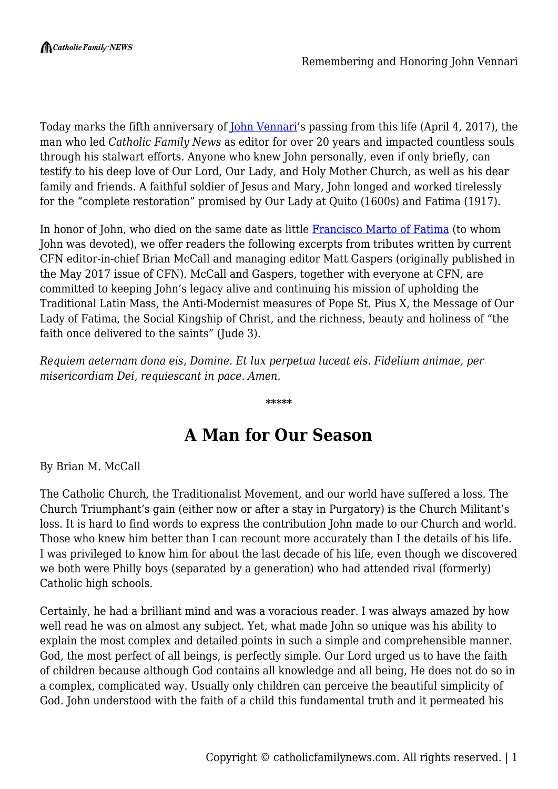Today marks the fifth anniversary of <u>[John Vennari](https://catholicfamilynews.com/john-vennari/)</u>'s passing from this life (April 4, 2017), the man who led *Catholic Family News* as editor for over 20 years and impacted countless souls through his stalwart efforts. Anyone who knew John personally, even if only briefly, can testify to his deep love of Our Lord, Our Lady, and Holy Mother Church, as well as his dear family and friends. A faithful soldier of Jesus and Mary, John longed and worked tirelessly for the "complete restoration" promised by Our Lady at Quito (1600s) and Fatima (1917).

In honor of John, who died on the same date as little **Francisco Marto of Fatima** (to whom John was devoted), we offer readers the following excerpts from tributes written by current CFN editor-in-chief Brian McCall and managing editor Matt Gaspers (originally published in the May 2017 issue of CFN). McCall and Gaspers, together with everyone at CFN, are committed to keeping John's legacy alive and continuing his mission of upholding the Traditional Latin Mass, the Anti-Modernist measures of Pope St. Pius X, the Message of Our Lady of Fatima, the Social Kingship of Christ, and the richness, beauty and holiness of "the faith once delivered to the saints" (Jude 3).

*Requiem aeternam dona eis, Domine. Et lux perpetua luceat eis. Fidelium animae, per misericordiam Dei, requiescant in pace. Amen.*

**\*\*\*\*\***

## **A Man for Our Season**

By Brian M. McCall

The Catholic Church, the Traditionalist Movement, and our world have suffered a loss. The Church Triumphant's gain (either now or after a stay in Purgatory) is the Church Militant's loss. It is hard to find words to express the contribution John made to our Church and world. Those who knew him better than I can recount more accurately than I the details of his life. I was privileged to know him for about the last decade of his life, even though we discovered we both were Philly boys (separated by a generation) who had attended rival (formerly) Catholic high schools.

Certainly, he had a brilliant mind and was a voracious reader. I was always amazed by how well read he was on almost any subject. Yet, what made John so unique was his ability to explain the most complex and detailed points in such a simple and comprehensible manner. God, the most perfect of all beings, is perfectly simple. Our Lord urged us to have the faith of children because although God contains all knowledge and all being, He does not do so in a complex, complicated way. Usually only children can perceive the beautiful simplicity of God. John understood with the faith of a child this fundamental truth and it permeated his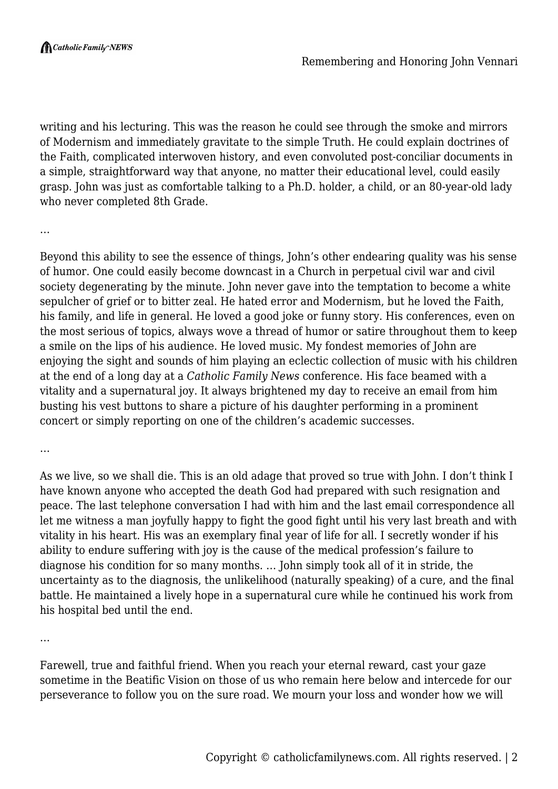writing and his lecturing. This was the reason he could see through the smoke and mirrors of Modernism and immediately gravitate to the simple Truth. He could explain doctrines of the Faith, complicated interwoven history, and even convoluted post-conciliar documents in a simple, straightforward way that anyone, no matter their educational level, could easily grasp. John was just as comfortable talking to a Ph.D. holder, a child, or an 80-year-old lady who never completed 8th Grade.

…

Beyond this ability to see the essence of things, John's other endearing quality was his sense of humor. One could easily become downcast in a Church in perpetual civil war and civil society degenerating by the minute. John never gave into the temptation to become a white sepulcher of grief or to bitter zeal. He hated error and Modernism, but he loved the Faith, his family, and life in general. He loved a good joke or funny story. His conferences, even on the most serious of topics, always wove a thread of humor or satire throughout them to keep a smile on the lips of his audience. He loved music. My fondest memories of John are enjoying the sight and sounds of him playing an eclectic collection of music with his children at the end of a long day at a *Catholic Family News* conference. His face beamed with a vitality and a supernatural joy. It always brightened my day to receive an email from him busting his vest buttons to share a picture of his daughter performing in a prominent concert or simply reporting on one of the children's academic successes.

…

As we live, so we shall die. This is an old adage that proved so true with John. I don't think I have known anyone who accepted the death God had prepared with such resignation and peace. The last telephone conversation I had with him and the last email correspondence all let me witness a man joyfully happy to fight the good fight until his very last breath and with vitality in his heart. His was an exemplary final year of life for all. I secretly wonder if his ability to endure suffering with joy is the cause of the medical profession's failure to diagnose his condition for so many months. … John simply took all of it in stride, the uncertainty as to the diagnosis, the unlikelihood (naturally speaking) of a cure, and the final battle. He maintained a lively hope in a supernatural cure while he continued his work from his hospital bed until the end.

…

Farewell, true and faithful friend. When you reach your eternal reward, cast your gaze sometime in the Beatific Vision on those of us who remain here below and intercede for our perseverance to follow you on the sure road. We mourn your loss and wonder how we will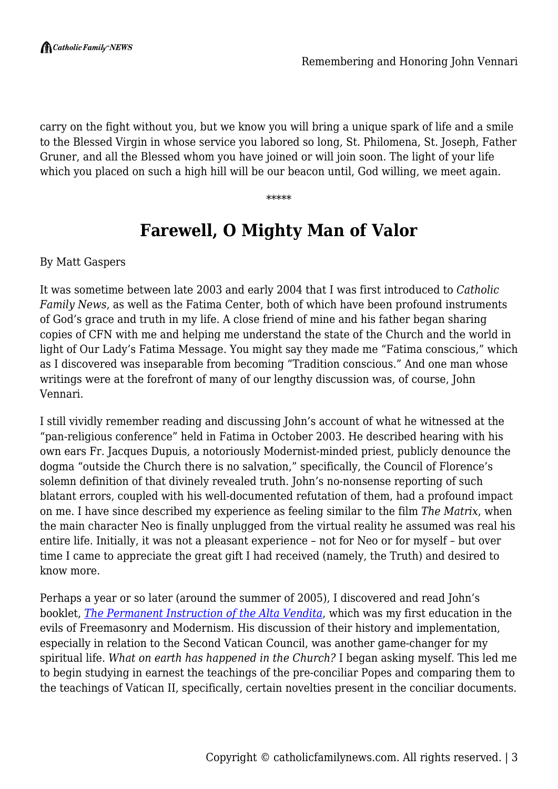carry on the fight without you, but we know you will bring a unique spark of life and a smile to the Blessed Virgin in whose service you labored so long, St. Philomena, St. Joseph, Father Gruner, and all the Blessed whom you have joined or will join soon. The light of your life which you placed on such a high hill will be our beacon until, God willing, we meet again.

\*\*\*\*\*

## **Farewell, O Mighty Man of Valor**

By Matt Gaspers

It was sometime between late 2003 and early 2004 that I was first introduced to *Catholic Family News*, as well as the Fatima Center, both of which have been profound instruments of God's grace and truth in my life. A close friend of mine and his father began sharing copies of CFN with me and helping me understand the state of the Church and the world in light of Our Lady's Fatima Message. You might say they made me "Fatima conscious," which as I discovered was inseparable from becoming "Tradition conscious." And one man whose writings were at the forefront of many of our lengthy discussion was, of course, John Vennari.

I still vividly remember reading and discussing John's account of what he witnessed at the "pan-religious conference" held in Fatima in October 2003. He described hearing with his own ears Fr. Jacques Dupuis, a notoriously Modernist-minded priest, publicly denounce the dogma "outside the Church there is no salvation," specifically, the Council of Florence's solemn definition of that divinely revealed truth. John's no-nonsense reporting of such blatant errors, coupled with his well-documented refutation of them, had a profound impact on me. I have since described my experience as feeling similar to the film *The Matrix*, when the main character Neo is finally unplugged from the virtual reality he assumed was real his entire life. Initially, it was not a pleasant experience – not for Neo or for myself – but over time I came to appreciate the great gift I had received (namely, the Truth) and desired to know more.

Perhaps a year or so later (around the summer of 2005), I discovered and read John's booklet, *[The Permanent Instruction of the Alta Vendita](https://fatima.org/wp-content/uploads/2019/06/BT057-Alta-Vendita-2019-WEB2.pdf)*, which was my first education in the evils of Freemasonry and Modernism. His discussion of their history and implementation, especially in relation to the Second Vatican Council, was another game-changer for my spiritual life. *What on earth has happened in the Church?* I began asking myself. This led me to begin studying in earnest the teachings of the pre-conciliar Popes and comparing them to the teachings of Vatican II, specifically, certain novelties present in the conciliar documents.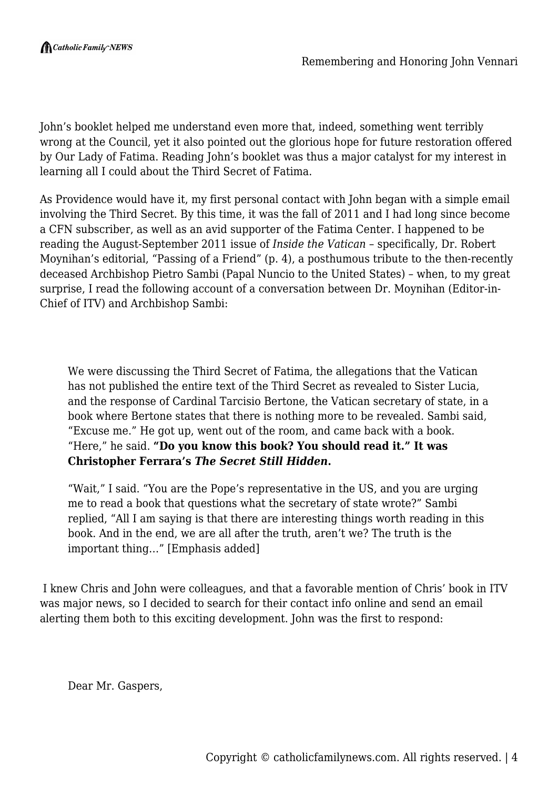John's booklet helped me understand even more that, indeed, something went terribly wrong at the Council, yet it also pointed out the glorious hope for future restoration offered by Our Lady of Fatima. Reading John's booklet was thus a major catalyst for my interest in learning all I could about the Third Secret of Fatima.

As Providence would have it, my first personal contact with John began with a simple email involving the Third Secret. By this time, it was the fall of 2011 and I had long since become a CFN subscriber, as well as an avid supporter of the Fatima Center. I happened to be reading the August-September 2011 issue of *Inside the Vatican* – specifically, Dr. Robert Moynihan's editorial, "Passing of a Friend" (p. 4), a posthumous tribute to the then-recently deceased Archbishop Pietro Sambi (Papal Nuncio to the United States) – when, to my great surprise, I read the following account of a conversation between Dr. Moynihan (Editor-in-Chief of ITV) and Archbishop Sambi:

We were discussing the Third Secret of Fatima, the allegations that the Vatican has not published the entire text of the Third Secret as revealed to Sister Lucia, and the response of Cardinal Tarcisio Bertone, the Vatican secretary of state, in a book where Bertone states that there is nothing more to be revealed. Sambi said, "Excuse me." He got up, went out of the room, and came back with a book. "Here," he said. **"Do you know this book? You should read it." It was Christopher Ferrara's** *The Secret Still Hidden***.**

"Wait," I said. "You are the Pope's representative in the US, and you are urging me to read a book that questions what the secretary of state wrote?" Sambi replied, "All I am saying is that there are interesting things worth reading in this book. And in the end, we are all after the truth, aren't we? The truth is the important thing…" [Emphasis added]

 I knew Chris and John were colleagues, and that a favorable mention of Chris' book in ITV was major news, so I decided to search for their contact info online and send an email alerting them both to this exciting development. John was the first to respond:

Dear Mr. Gaspers,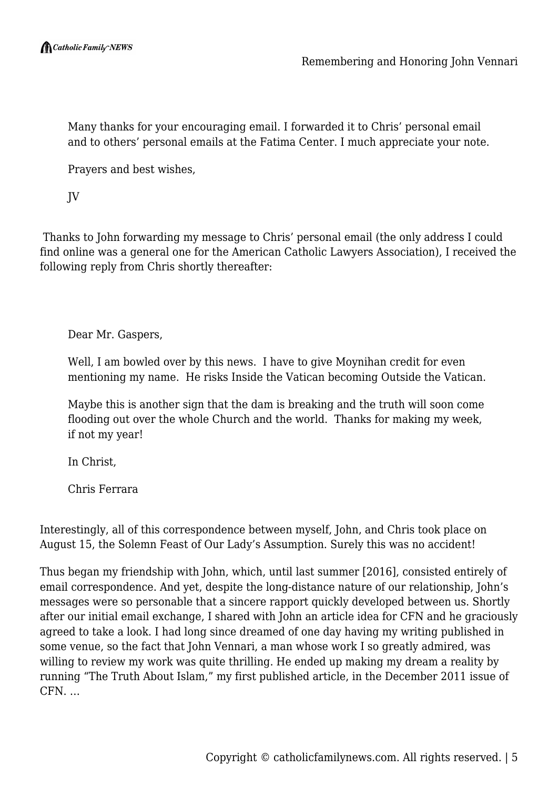Many thanks for your encouraging email. I forwarded it to Chris' personal email and to others' personal emails at the Fatima Center. I much appreciate your note.

Prayers and best wishes,

JV

 Thanks to John forwarding my message to Chris' personal email (the only address I could find online was a general one for the American Catholic Lawyers Association), I received the following reply from Chris shortly thereafter:

Dear Mr. Gaspers,

Well, I am bowled over by this news. I have to give Moynihan credit for even mentioning my name. He risks Inside the Vatican becoming Outside the Vatican.

Maybe this is another sign that the dam is breaking and the truth will soon come flooding out over the whole Church and the world. Thanks for making my week, if not my year!

In Christ,

Chris Ferrara

Interestingly, all of this correspondence between myself, John, and Chris took place on August 15, the Solemn Feast of Our Lady's Assumption. Surely this was no accident!

Thus began my friendship with John, which, until last summer [2016], consisted entirely of email correspondence. And yet, despite the long-distance nature of our relationship, John's messages were so personable that a sincere rapport quickly developed between us. Shortly after our initial email exchange, I shared with John an article idea for CFN and he graciously agreed to take a look. I had long since dreamed of one day having my writing published in some venue, so the fact that John Vennari, a man whose work I so greatly admired, was willing to review my work was quite thrilling. He ended up making my dream a reality by running "The Truth About Islam," my first published article, in the December 2011 issue of CFN. …